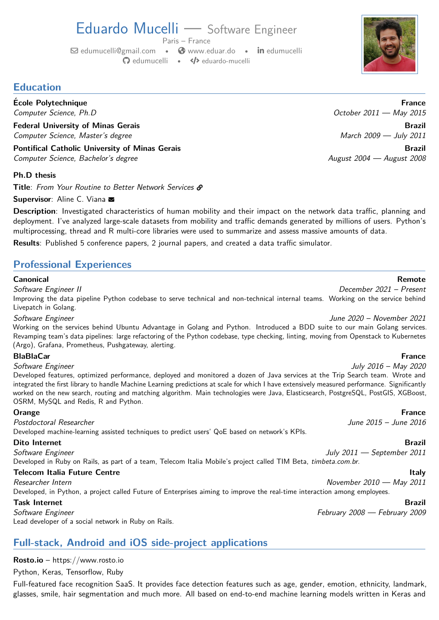# Eduardo Mucelli — Software Engineer

Paris – France

 $\boxdot$  [edumucelli@gmail.com](mailto:edumucelli@gmail.com) •  $\bigcirc$  [www.eduar.do](https://www.eduar.do) • in [edumucelli](https://www.linkedin.com/in/edumucelli) § [edumucelli](https://github.com/edumucelli) • Ð [eduardo-mucelli](https://code.launchpad.net/~eduardo-mucelli)

## **Education**

**Ecole Polytechnique ´ France**

**Federal University of Minas Gerais Brazil** Computer Science, Master's degree March 2009 — July 2011

**Pontifical Catholic University of Minas Gerais Brazil** Computer Science, Bachelor's degree August 2004 — August 2008

### **Ph.D thesis**

Title: From Your Routine to Better Network Services  $\mathcal{S}$ 

Supervisor: Aline C. Viana

**Description**: Investigated characteristics of human mobility and their impact on the network data traffic, planning and deployment. I've analyzed large-scale datasets from mobility and traffic demands generated by millions of users. Python's multiprocessing, thread and R multi-core libraries were used to summarize and assess massive amounts of data.

**Results**: Published 5 conference papers, 2 journal papers, and created a data traffic simulator.

## **Professional Experiences**

### **Canonical Remote**

Software Engineer II December 2021 – Present Improving the data pipeline Python codebase to serve technical and non-technical internal teams. Working on the service behind [Livepatch](https://ubuntu.com/security/livepatch) in Golang. Software Engineer June 2020 – November 2021

Working on the services behind [Ubuntu Advantage](https://ubuntu.com/advantage) in Golang and Python. Introduced a BDD suite to our main Golang services. Revamping team's data pipelines: large refactoring of the Python codebase, type checking, linting, moving from Openstack to Kubernetes (Argo), Grafana, Prometheus, Pushgateway, alerting.

### **BlaBlaCar France**

Software Engineer July 2016 – May 2020

Developed features, optimized performance, deployed and monitored a dozen of Java services at the Trip Search team. [Wrote and](https://medium.com/blablacar-tech/fast-machine-learning-predictions-6856b3623e5) [integrated the first library](https://medium.com/blablacar-tech/fast-machine-learning-predictions-6856b3623e5) to handle Machine Learning predictions at scale for [which I have extensively measured performance.](https://github.com/edumucelli/benchmark-xgboost-java) Significantly worked on the [new search, routing and matching algorithm.](https://blog.blablacar.com/newsroom/news-list/new-search-logo-visual-identity) Main technologies were Java, Elasticsearch, PostgreSQL, PostGIS, XGBoost, OSRM, MySQL and Redis, R and Python.

### **Orange France**

Postdoctoral Researcher and the settlement of the South of the 2015 – June 2016 Developed machine-learning assisted techniques to predict users' QoE based on network's KPIs.

### **Dito Internet Brazil**

Software Engineer July 2011 — September 2011 Developed in Ruby on Rails, as part of a team, Telecom Italia Mobile's project called TIM Beta, [timbeta.com.br](www.timbeta.com.br).

### **Telecom Italia Future Centre Italy**

Researcher Intern November 2010 — May 2011 Developed, in Python, a project called Future of Enterprises aiming to improve the real-time interaction among employees.

### **Task Internet Brazil**

Software Engineer February 2008 — February 2009 — February 2009 — February 2009 — February 2009 — February 2009

Lead developer of a social network in Ruby on Rails.

## <span id="page-0-0"></span>**Full-stack, Android and iOS side-project applications**

## **Rosto.io** –<https://www.rosto.io>

Python, Keras, Tensorflow, Ruby

Full-featured face recognition SaaS. It provides face detection features such as age, gender, emotion, ethnicity, landmark, glasses, smile, hair segmentation and much more. All based on end-to-end machine learning models written in Keras and



Computer Science, Ph.D October 2011 — May 2015